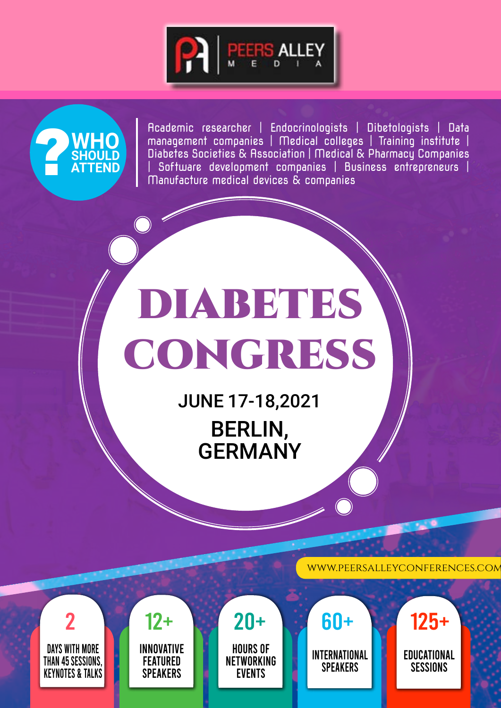



Academic researcher | Endocrinologists | Dibetologists | Data management companies | Medical colleges | Training institute | Diabetes Societies & Association | Medical & Pharmacy Companies | Software development companies | Business entrepreneurs | Manufacture medical devices & companies

# DIABETES **CONGRESS**

JUNE 17-18,2021 BERLIN, GERMANY

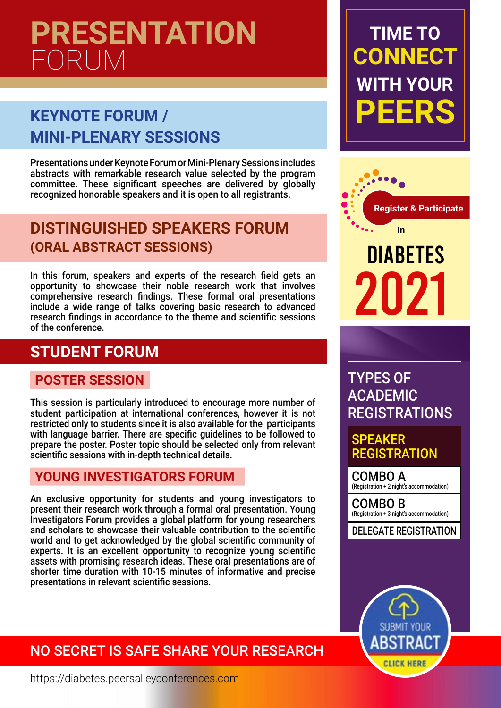# **PRESENTATION TIME TO** FORUM

### **KEYNOTE FORUM / MINI-PLENARY SESSIONS**

Presentations under Keynote Forum or Mini-Plenary Sessions includes abstracts with remarkable research value selected by the program committee. These significant speeches are delivered by globally recognized honorable speakers and it is open to all registrants.

### **DISTINGUISHED SPEAKERS FORUM (ORAL ABSTRACT SESSIONS)**

In this forum, speakers and experts of the research field gets an opportunity to showcase their noble research work that involves comprehensive research findings. These formal oral presentations include a wide range of talks covering basic research to advanced research findings in accordance to the theme and scientific sessions of the conference.

### **STUDENT FORUM**

### **POSTER SESSION**

This session is particularly introduced to encourage more number of **THE REGISTRATIONS**<br>student participation at international conferences, however it is not **REGISTRATIONS** restricted only to students since it is also available for the participants with language barrier. There are specific guidelines to be followed to prepare the poster. Poster topic should be selected only from relevant scientific sessions with in-depth technical details.

### **YOUNG INVESTIGATORS FORUM**

An exclusive opportunity for students and young investigators to present their research work through a formal oral presentation. Young Investigators Forum provides a global platform for young researchers and scholars to showcase their valuable contribution to the scientific world and to get acknowledged by the global scientific community of experts. It is an excellent opportunity to recognize young scientific assets with promising research ideas. These oral presentations are of shorter time duration with 10-15 minutes of informative and precise presentations in relevant scientific sessions.

### NO SECRET IS SAFE SHARE YOUR RESEARCH

**WITH YOUR CONNECT PEERS**



TYPES OF **ACADEMIC** 

### SPEAKER **REGISTRATION**

COMBO A (Registration + 2 night's accommodation)

COMBO B (Registration + 3 night's accommodation)

DELEGATE REGISTRATION



https://diabetes.peersalleyconferences.com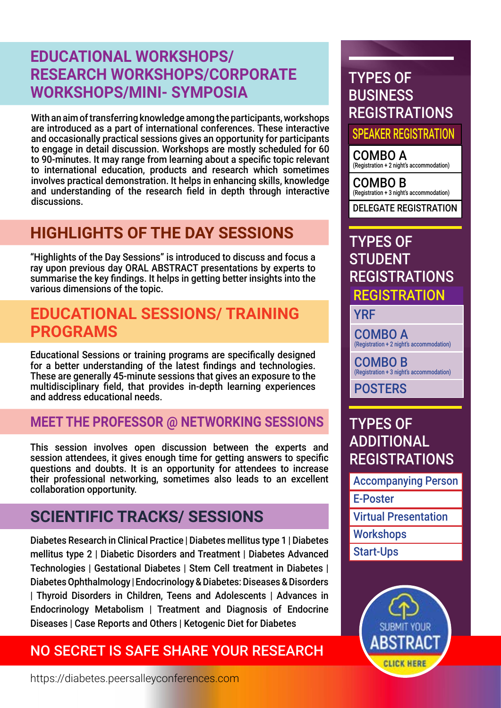### **EDUCATIONAL WORKSHOPS/ RESEARCH WORKSHOPS/CORPORATE WORKSHOPS/MINI- SYMPOSIA**

With an aim of transferring knowledge among the participants, workshops are introduced as a part of international conferences. These interactive and occasionally practical sessions gives an opportunity for participants to engage in detail discussion. Workshops are mostly scheduled for 60 to 90-minutes. It may range from learning about a specific topic relevant to international education, products and research which sometimes involves practical demonstration. It helps in enhancing skills, knowledge and understanding of the research field in depth through interactive discussions.

### **HIGHLIGHTS OF THE DAY SESSIONS**

"Highlights of the Day Sessions" is introduced to discuss and focus a ray upon previous day ORAL ABSTRACT presentations by experts to summarise the key findings. It helps in getting better insights into the various dimensions of the topic.

### **EDUCATIONAL SESSIONS/ TRAINING PROGRAMS**

Educational Sessions or training programs are specifically designed for a better understanding of the latest findings and technologies. These are generally 45-minute sessions that gives an exposure to the multidisciplinary field, that provides in-depth learning experiences and address educational needs.

### **MEET THE PROFESSOR @ NETWORKING SESSIONS**

This session involves open discussion between the experts and session attendees, it gives enough time for getting answers to specific questions and doubts. It is an opportunity for attendees to increase their professional networking, sometimes also leads to an excellent collaboration opportunity.

### **SCIENTIFIC TRACKS/ SESSIONS**

Diabetes Research in Clinical Practice | Diabetes mellitus type 1 | Diabetes mellitus type 2 | Diabetic Disorders and Treatment | Diabetes Advanced Technologies | Gestational Diabetes | Stem Cell treatment in Diabetes | Diabetes Ophthalmology | Endocrinology & Diabetes: Diseases & Disorders | Thyroid Disorders in Children, Teens and Adolescents | Advances in Endocrinology Metabolism | Treatment and Diagnosis of Endocrine Diseases | Case Reports and Others | Ketogenic Diet for Diabetes

### NO SECRET IS SAFE SHARE YOUR RESEARCH

https://diabetes.peersalleyconferences.com

### TYPES OF BUSINESS **REGISTRATIONS** SPEAKER REGISTRATION

COMBO A (Registration + 2 night's accommodation)

COMBO B (Registration + 3 night's accommodation)

DELEGATE REGISTRATION

### TYPES OF **STUDENT** REGISTRATIONS **REGISTRATION**

YRF

COMBO A (Registration + 2 night's accommodation)

COMBO B (Registration + 3 night's accommodation)

### POSTERS

### TYPES OF ADDITIONAL REGISTRATIONS

Accompanying Person

E-Poster

Virtual Presentation

**Workshops** 

Start-Ups

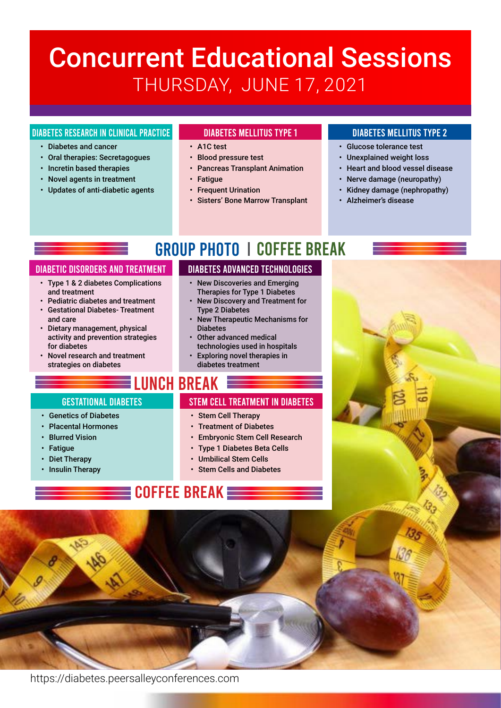## THURSDAY, JUNE 17, 2021 Concurrent Educational Sessions

#### Diabetes Research in Clinical Practice

- Diabetes and cancer
- Oral therapies: Secretagogues
- Incretin based therapies
- Novel agents in treatment
- Updates of anti-diabetic agents

#### Diabetes Mellitus type 1

- A1C test
- Blood pressure test
- Pancreas Transplant Animation
- **Fatique**
- Frequent Urination
- Sisters' Bone Marrow Transplant

#### Diabetes Mellitus type 2

- Glucose tolerance test
- Unexplained weight loss
- Heart and blood vessel disease
- Nerve damage (neuropathy)
- Kidney damage (nephropathy)
- Alzheimer's disease

### **GROUP PHOTO | COFFEE BREAK**

#### Diabetic Disorders and Treatment

- Type 1 & 2 diabetes Complications and treatment
- Pediatric diabetes and treatment
- Gestational Diabetes- Treatment
- and care • Dietary management, physical activity and prevention strategies for diabetes

Gestational Diabetes

• Novel research and treatment strategies on diabetes

• Genetics of Diabetes • Placental Hormones • Blurred Vision **Fatique** • Diet Therapy • Insulin Therapy

#### New Discoveries and Emerging Therapies for Type 1 Diabetes

- New Discovery and Treatment for Type 2 Diabetes
- New Therapeutic Mechanisms for Diabetes
- Other advanced medical technologies used in hospitals
- Exploring novel therapies in diabetes treatment

### **ELUNCH BREAK**

#### Stem Cell treatment in Diabetes

- Stem Cell Therapy
- Treatment of Diabetes
- Embryonic Stem Cell Research
- Type 1 Diabetes Beta Cells
- Umbilical Stem Cells
- Stem Cells and Diabetes

### **E COFFEE BREAK!**

https://diabetes.peersalleyconferences.com

Diabetes Advanced Technologies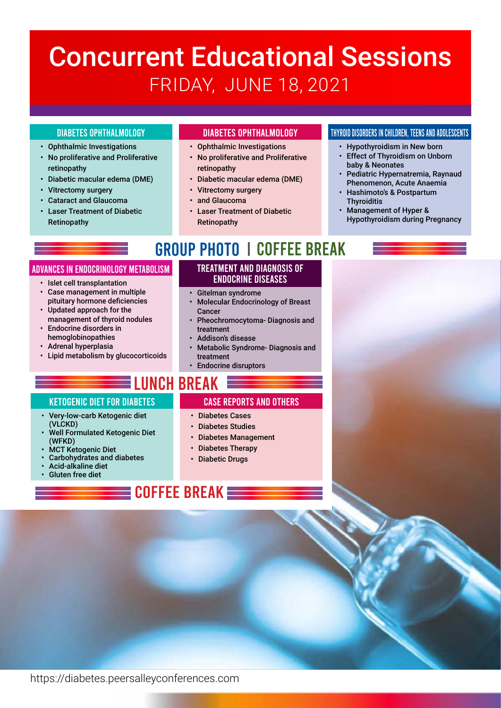# Concurrent Educational Sessions FRIDAY, JUNE 18, 2021

#### Diabetes Ophthalmology

- Ophthalmic Investigations
- No proliferative and Proliferative retinopathy
- Diabetic macular edema (DME)
- Vitrectomy surgery
- Cataract and Glaucoma
- Laser Treatment of Diabetic Retinopathy

#### Diabetes Ophthalmology

- Ophthalmic Investigations
- No proliferative and Proliferative retinopathy
- Diabetic macular edema (DME)
- Vitrectomy surgery
- and Glaucoma
- **Laser Treatment of Diabetic** Retinopathy

#### Thyroid Disorders in Children, Teens and Adolescents

- Hypothyroidism in New born
- **Effect of Thyroidism on Unborn** baby & Neonates
- Pediatric Hypernatremia, Raynaud Phenomenon, Acute Anaemia
- Hashimoto's & Postpartum **Thyroiditis**
- Management of Hyper & Hypothyroidism during Pregnancy

### **GROUP PHOTO | COFFEE BREAK**

Treatment and Diagnosis of Endocrine Diseases

• Molecular Endocrinology of Breast

• Pheochromocytoma- Diagnosis and

• Metabolic Syndrome- Diagnosis and

#### Advances in Endocrinology Metabolism

- Islet cell transplantation
- Case management in multiple pituitary hormone deficiencies
- Updated approach for the management of thyroid nodules
- Endocrine disorders in hemoglobinopathies
- Adrenal hyperplasia

(VLCKD)

(WFKD)

• Lipid metabolism by glucocorticoids

Ketogenic Diet for Diabetes • Very-low-carb Ketogenic diet

• Well Formulated Ketogenic Diet

treatment • Endocrine disruptors

• Gitelman syndrome

Cancer

treatment • Addison's disease

### LUNCH BREAK

#### Case Reports and Others

- Diabetes Cases
- Diabetes Studies
- Diabetes Management
- Diabetes Therapy
- Diabetic Drugs

#### • Acid-alkaline diet Gluten free diet

• MCT Ketogenic Diet • Carbohydrates and diabetes

### **E COFFEE BREAKE**

https://diabetes.peersalleyconferences.com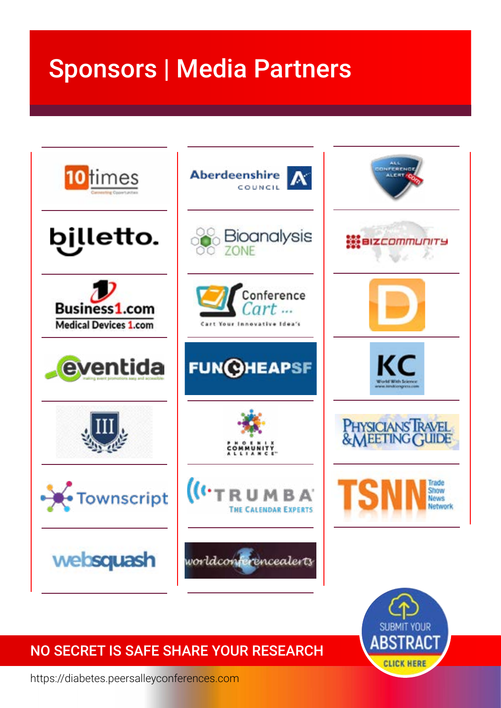# Sponsors | Media Partners



### NO SECRET IS SAFE SHARE YOUR RESEARCH



https://diabetes.peersalleyconferences.com